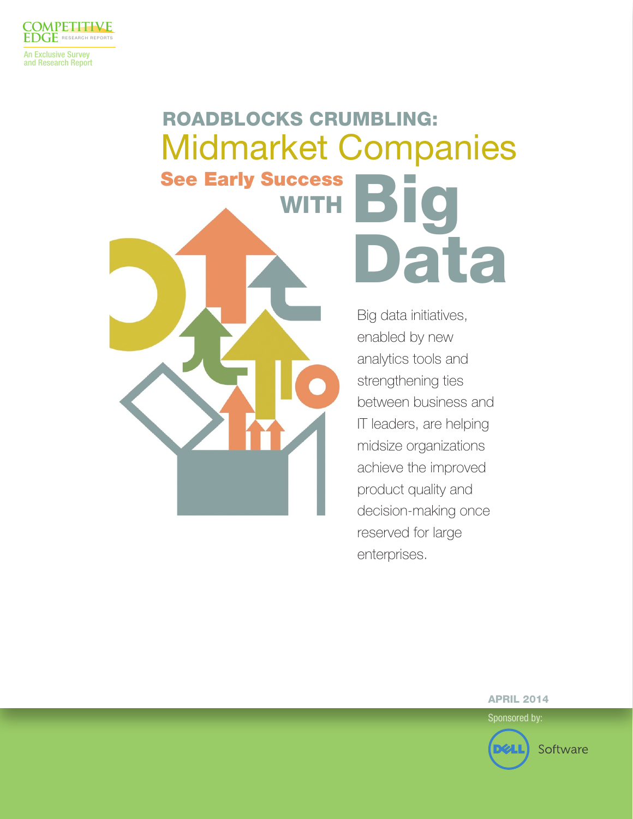

An Exclusive Survey and Research Report

# ROADBLOCKS CRUMBLING: Midmarket Companies **See Early Success** Data **WITH**

Big data initiatives, enabled by new analytics tools and strengthening ties between business and IT leaders, are helping midsize organizations achieve the improved product quality and decision-making once reserved for large enterprises.

APRIL 2014

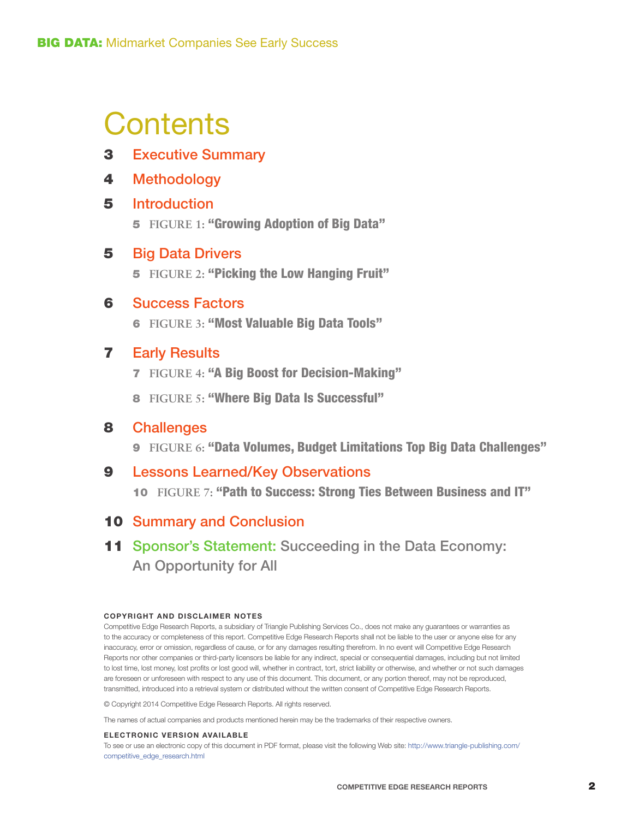# **Contents**

- 3 Executive Summary
- 4 Methodology

## 5 Introduction

5 **FIGURE 1:** "Growing Adoption of Big Data"

## 5 Big Data Drivers

5 **FIGURE 2:** "Picking the Low Hanging Fruit"

## 6 Success Factors

6 **FIGURE 3:** "Most Valuable Big Data Tools"

## 7 Early Results

- 7 **FIGURE 4:** "A Big Boost for Decision-Making"
- 8  **FIGURE 5:** "Where Big Data Is Successful"

### 8 Challenges

9 **FIGURE 6:** "Data Volumes, Budget Limitations Top Big Data Challenges"

# 9 Lessons Learned/Key Observations

10 **FIGURE 7:** "Path to Success: Strong Ties Between Business and IT"

## 10 Summary and Conclusion

11 Sponsor's Statement: Succeeding in the Data Economy: An Opportunity for All

#### **COPYRIGHT AND DISCLAIMER NOTES**

Competitive Edge Research Reports, a subsidiary of Triangle Publishing Services Co., does not make any guarantees or warranties as to the accuracy or completeness of this report. Competitive Edge Research Reports shall not be liable to the user or anyone else for any inaccuracy, error or omission, regardless of cause, or for any damages resulting therefrom. In no event will Competitive Edge Research Reports nor other companies or third-party licensors be liable for any indirect, special or consequential damages, including but not limited to lost time, lost money, lost profits or lost good will, whether in contract, tort, strict liability or otherwise, and whether or not such damages are foreseen or unforeseen with respect to any use of this document. This document, or any portion thereof, may not be reproduced, transmitted, introduced into a retrieval system or distributed without the written consent of Competitive Edge Research Reports.

© Copyright 2014 Competitive Edge Research Reports. All rights reserved.

The names of actual companies and products mentioned herein may be the trademarks of their respective owners.

#### **ELECTRONIC VERSION AVAILABLE**

To see or use an electronic copy of this document in PDF format, please visit the following Web site: [http://www.triangle-publishing.com/](http://www.triangle-publishing.com/competitive_edge_research.html) [competitive\\_edge\\_research.html](http://www.triangle-publishing.com/competitive_edge_research.html)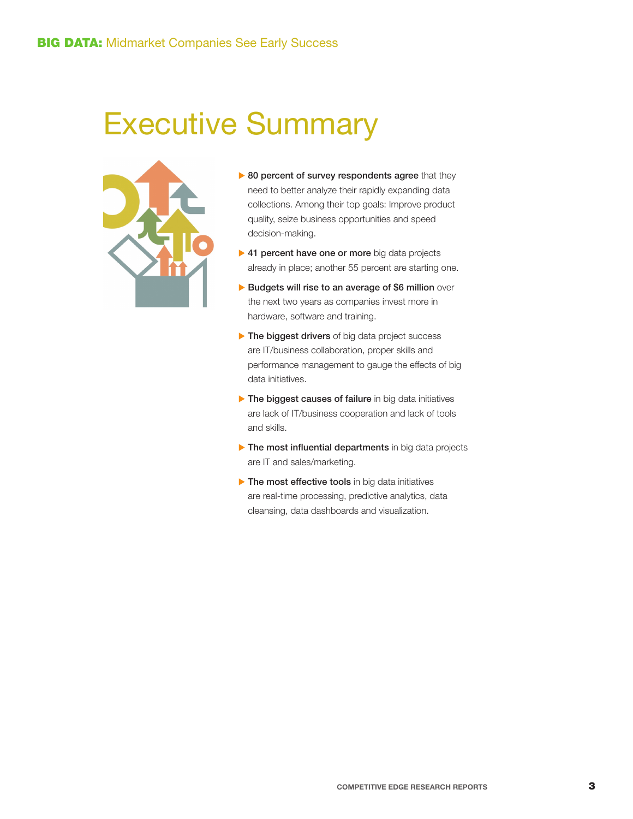# Executive Summary



- $\triangleright$  80 percent of survey respondents agree that they need to better analyze their rapidly expanding data collections. Among their top goals: Improve product quality, seize business opportunities and speed decision-making.
- $\triangleright$  41 percent have one or more big data projects already in place; another 55 percent are starting one.
- $\blacktriangleright$  Budgets will rise to an average of \$6 million over the next two years as companies invest more in hardware, software and training.
- $\blacktriangleright$  The biggest drivers of big data project success are IT/business collaboration, proper skills and performance management to gauge the effects of big data initiatives.
- $\blacktriangleright$  The biggest causes of failure in big data initiatives are lack of IT/business cooperation and lack of tools and skills.
- $\blacktriangleright$  The most influential departments in big data projects are IT and sales/marketing.
- $\blacktriangleright$  The most effective tools in big data initiatives are real-time processing, predictive analytics, data cleansing, data dashboards and visualization.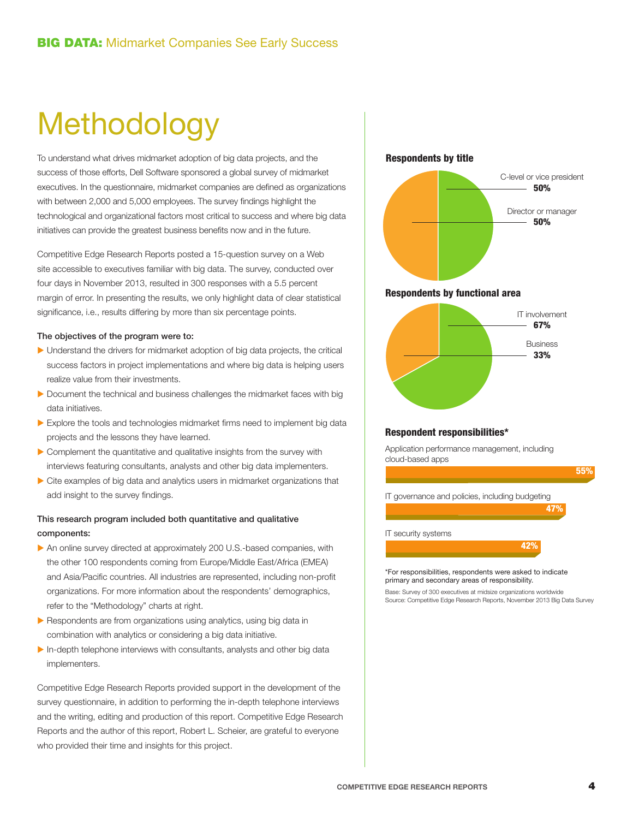# **Methodology**

To understand what drives midmarket adoption of big data projects, and the success of those efforts, Dell Software sponsored a global survey of midmarket executives. In the questionnaire, midmarket companies are defined as organizations with between 2,000 and 5,000 employees. The survey findings highlight the technological and organizational factors most critical to success and where big data initiatives can provide the greatest business benefits now and in the future.

Competitive Edge Research Reports posted a 15-question survey on a Web site accessible to executives familiar with big data. The survey, conducted over four days in November 2013, resulted in 300 responses with a 5.5 percent margin of error. In presenting the results, we only highlight data of clear statistical significance, i.e., results differing by more than six percentage points.

#### The objectives of the program were to:

- $\blacktriangleright$  Understand the drivers for midmarket adoption of big data projects, the critical success factors in project implementations and where big data is helping users realize value from their investments.
- $\blacktriangleright$  Document the technical and business challenges the midmarket faces with big data initiatives.
- $\triangleright$  Explore the tools and technologies midmarket firms need to implement big data projects and the lessons they have learned.
- $\triangleright$  Complement the quantitative and qualitative insights from the survey with interviews featuring consultants, analysts and other big data implementers.
- $\triangleright$  Cite examples of big data and analytics users in midmarket organizations that add insight to the survey findings.

#### This research program included both quantitative and qualitative components:

- $\triangleright$  An online survey directed at approximately 200 U.S.-based companies, with the other 100 respondents coming from Europe/Middle East/Africa (EMEA) and Asia/Pacific countries. All industries are represented, including non-profit organizations. For more information about the respondents' demographics, refer to the "Methodology" charts at right.
- $\blacktriangleright$  Respondents are from organizations using analytics, using big data in combination with analytics or considering a big data initiative.
- $\blacktriangleright$  In-depth telephone interviews with consultants, analysts and other big data implementers.

Competitive Edge Research Reports provided support in the development of the survey questionnaire, in addition to performing the in-depth telephone interviews and the writing, editing and production of this report. Competitive Edge Research Reports and the author of this report, Robert L. Scheier, are grateful to everyone who provided their time and insights for this project.



\*For responsibilities, respondents were asked to indicate primary and secondary areas of responsibility.

Base: Survey of 300 executives at midsize organizations worldwide Source: Competitive Edge Research Reports, November 2013 Big Data Survey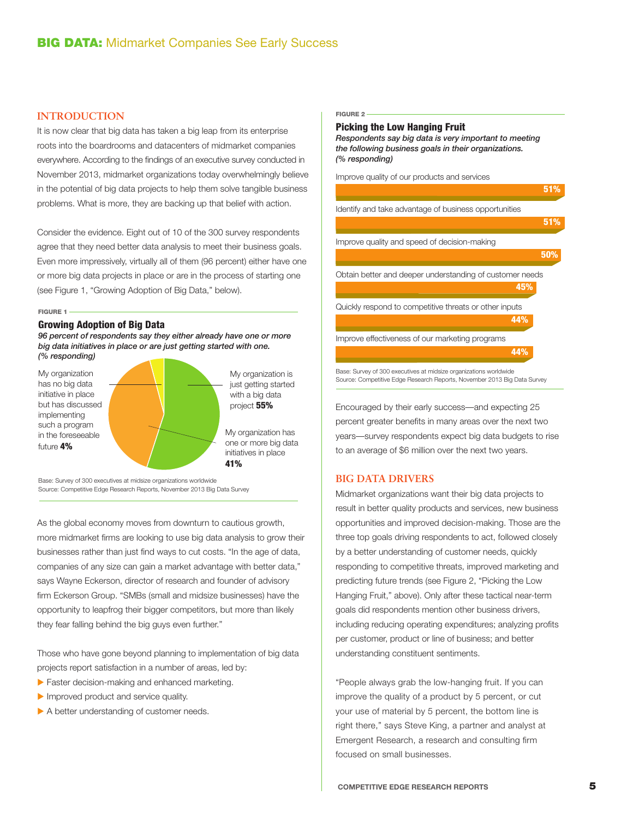#### **INTRODUCTION**

It is now clear that big data has taken a big leap from its enterprise roots into the boardrooms and datacenters of midmarket companies everywhere. According to the findings of an executive survey conducted in November 2013, midmarket organizations today overwhelmingly believe in the potential of big data projects to help them solve tangible business problems. What is more, they are backing up that belief with action.

Consider the evidence. Eight out of 10 of the 300 survey respondents agree that they need better data analysis to meet their business goals. Even more impressively, virtually all of them (96 percent) either have one or more big data projects in place or are in the process of starting one (see Figure 1, "Growing Adoption of Big Data," below).

FIGURE 1

#### Growing Adoption of Big Data

*96 percent of respondents say they either already have one or more big data initiatives in place or are just getting started with one. (% responding)*



Base: Survey of 300 executives at midsize organizations worldwide Source: Competitive Edge Research Reports, November 2013 Big Data Survey

As the global economy moves from downturn to cautious growth, more midmarket firms are looking to use big data analysis to grow their businesses rather than just find ways to cut costs. "In the age of data, companies of any size can gain a market advantage with better data," says Wayne Eckerson, director of research and founder of advisory firm Eckerson Group. "SMBs (small and midsize businesses) have the opportunity to leapfrog their bigger competitors, but more than likely they fear falling behind the big guys even further."

Those who have gone beyond planning to implementation of big data projects report satisfaction in a number of areas, led by:

- $\blacktriangleright$  Faster decision-making and enhanced marketing.
- $\blacktriangleright$  Improved product and service quality.
- $\triangleright$  A better understanding of customer needs.

#### FIGURE 2

#### Picking the Low Hanging Fruit

*Respondents say big data is very important to meeting the following business goals in their organizations. (% responding)*

Improve quality of our products and services



Encouraged by their early success—and expecting 25 percent greater benefits in many areas over the next two years—survey respondents expect big data budgets to rise to an average of \$6 million over the next two years.

#### **BIG DATA DRIVERS**

Midmarket organizations want their big data projects to result in better quality products and services, new business opportunities and improved decision-making. Those are the three top goals driving respondents to act, followed closely by a better understanding of customer needs, quickly responding to competitive threats, improved marketing and predicting future trends (see Figure 2, "Picking the Low Hanging Fruit," above). Only after these tactical near-term goals did respondents mention other business drivers, including reducing operating expenditures; analyzing profits per customer, product or line of business; and better understanding constituent sentiments.

"People always grab the low-hanging fruit. If you can improve the quality of a product by 5 percent, or cut your use of material by 5 percent, the bottom line is right there," says Steve King, a partner and analyst at Emergent Research, a research and consulting firm focused on small businesses.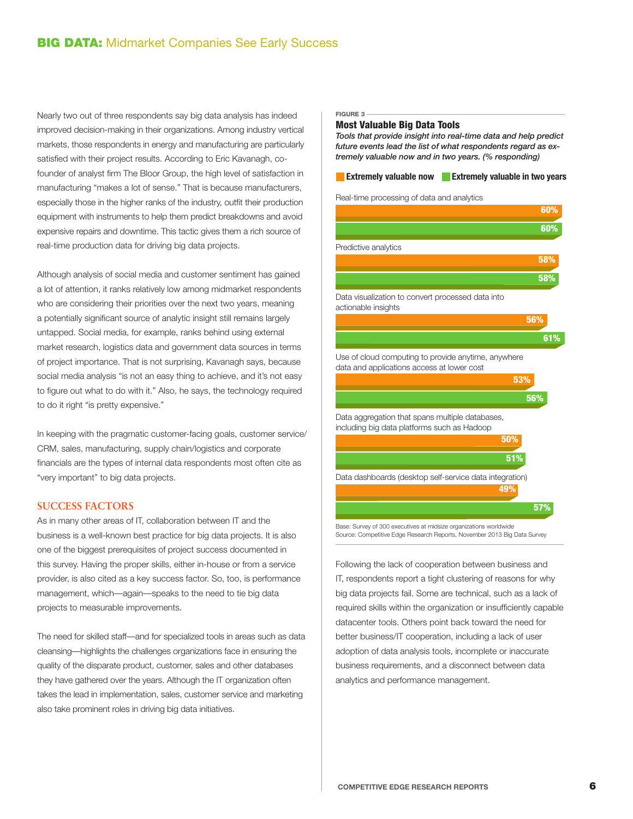Nearly two out of three respondents say big data analysis has indeed improved decision-making in their organizations. Among industry vertical markets, those respondents in energy and manufacturing are particularly satisfied with their project results. According to Eric Kavanagh, cofounder of analyst firm The Bloor Group, the high level of satisfaction in manufacturing "makes a lot of sense." That is because manufacturers, especially those in the higher ranks of the industry, outfit their production equipment with instruments to help them predict breakdowns and avoid expensive repairs and downtime. This tactic gives them a rich source of real-time production data for driving big data projects.

Although analysis of social media and customer sentiment has gained a lot of attention, it ranks relatively low among midmarket respondents who are considering their priorities over the next two years, meaning a potentially significant source of analytic insight still remains largely untapped. Social media, for example, ranks behind using external market research, logistics data and government data sources in terms of project importance. That is not surprising, Kavanagh says, because social media analysis "is not an easy thing to achieve, and it's not easy to figure out what to do with it." Also, he says, the technology required to do it right "is pretty expensive."

In keeping with the pragmatic customer-facing goals, customer service/ CRM, sales, manufacturing, supply chain/logistics and corporate financials are the types of internal data respondents most often cite as "very important" to big data projects.

#### **SUCCESS FACTORS**

As in many other areas of IT, collaboration between IT and the business is a well-known best practice for big data projects. It is also one of the biggest prerequisites of project success documented in this survey. Having the proper skills, either in-house or from a service provider, is also cited as a key success factor. So, too, is performance management, which—again—speaks to the need to tie big data projects to measurable improvements.

The need for skilled staff—and for specialized tools in areas such as data cleansing—highlights the challenges organizations face in ensuring the quality of the disparate product, customer, sales and other databases they have gathered over the years. Although the IT organization often takes the lead in implementation, sales, customer service and marketing also take prominent roles in driving big data initiatives.

#### FIGURE 3

#### Most Valuable Big Data Tools

*Tools that provide insight into real-time data and help predict future events lead the list of what respondents regard as extremely valuable now and in two years. (% responding)*

#### **Extremely valuable now Extremely valuable in two years**

Real-time processing of data and analytics

|                                                                                                   | 60% |
|---------------------------------------------------------------------------------------------------|-----|
|                                                                                                   | 60% |
| Predictive analytics                                                                              |     |
|                                                                                                   | 58% |
|                                                                                                   | 58% |
| Data visualization to convert processed data into<br>actionable insights                          |     |
|                                                                                                   | 56% |
|                                                                                                   | 61% |
| Use of cloud computing to provide anytime, anywhere<br>data and applications access at lower cost |     |
| 53%                                                                                               |     |
|                                                                                                   | 56% |
| Data aggregation that spans multiple databases,<br>including big data platforms such as Hadoop    |     |
| 50%                                                                                               |     |
| 51%                                                                                               |     |
| Data dashboards (desktop self-service data integration)<br>49%                                    |     |
|                                                                                                   | 57% |

Base: Survey of 300 executives at midsize organizations worldwide Source: Competitive Edge Research Reports, November 2013 Big Data Survey

Following the lack of cooperation between business and IT, respondents report a tight clustering of reasons for why big data projects fail. Some are technical, such as a lack of required skills within the organization or insufficiently capable datacenter tools. Others point back toward the need for better business/IT cooperation, including a lack of user adoption of data analysis tools, incomplete or inaccurate business requirements, and a disconnect between data analytics and performance management.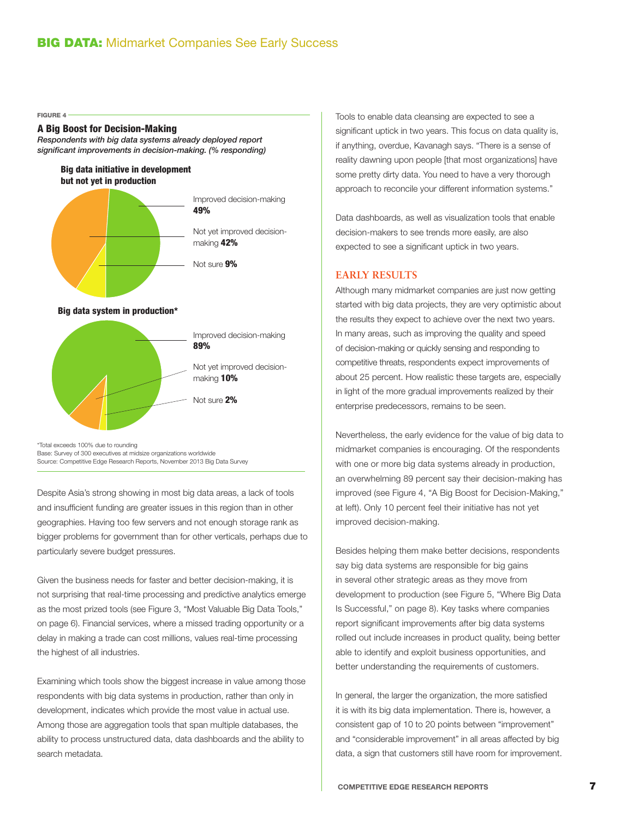FIGURE 4

#### A Big Boost for Decision-Making

*Respondents with big data systems already deployed report significant improvements in decision-making. (% responding)*

Big data initiative in development but not yet in production



Not yet improved decisionmaking 10%

Not sure 2%

\*Total exceeds 100% due to rounding Base: Survey of 300 executives at midsize organizations worldwide Source: Competitive Edge Research Reports, November 2013 Big Data Survey

Despite Asia's strong showing in most big data areas, a lack of tools and insufficient funding are greater issues in this region than in other geographies. Having too few servers and not enough storage rank as bigger problems for government than for other verticals, perhaps due to particularly severe budget pressures.

Given the business needs for faster and better decision-making, it is not surprising that real-time processing and predictive analytics emerge as the most prized tools (see Figure 3, "Most Valuable Big Data Tools," on page 6). Financial services, where a missed trading opportunity or a delay in making a trade can cost millions, values real-time processing the highest of all industries.

Examining which tools show the biggest increase in value among those respondents with big data systems in production, rather than only in development, indicates which provide the most value in actual use. Among those are aggregation tools that span multiple databases, the ability to process unstructured data, data dashboards and the ability to search metadata.

Tools to enable data cleansing are expected to see a significant uptick in two years. This focus on data quality is, if anything, overdue, Kavanagh says. "There is a sense of reality dawning upon people [that most organizations] have some pretty dirty data. You need to have a very thorough approach to reconcile your different information systems."

Data dashboards, as well as visualization tools that enable decision-makers to see trends more easily, are also expected to see a significant uptick in two years.

#### **EARLY RESULTS**

Although many midmarket companies are just now getting started with big data projects, they are very optimistic about the results they expect to achieve over the next two years. In many areas, such as improving the quality and speed of decision-making or quickly sensing and responding to competitive threats, respondents expect improvements of about 25 percent. How realistic these targets are, especially in light of the more gradual improvements realized by their enterprise predecessors, remains to be seen.

Nevertheless, the early evidence for the value of big data to midmarket companies is encouraging. Of the respondents with one or more big data systems already in production, an overwhelming 89 percent say their decision-making has improved (see Figure 4, "A Big Boost for Decision-Making," at left). Only 10 percent feel their initiative has not yet improved decision-making.

Besides helping them make better decisions, respondents say big data systems are responsible for big gains in several other strategic areas as they move from development to production (see Figure 5, "Where Big Data Is Successful," on page 8). Key tasks where companies report significant improvements after big data systems rolled out include increases in product quality, being better able to identify and exploit business opportunities, and better understanding the requirements of customers.

In general, the larger the organization, the more satisfied it is with its big data implementation. There is, however, a consistent gap of 10 to 20 points between "improvement" and "considerable improvement" in all areas affected by big data, a sign that customers still have room for improvement.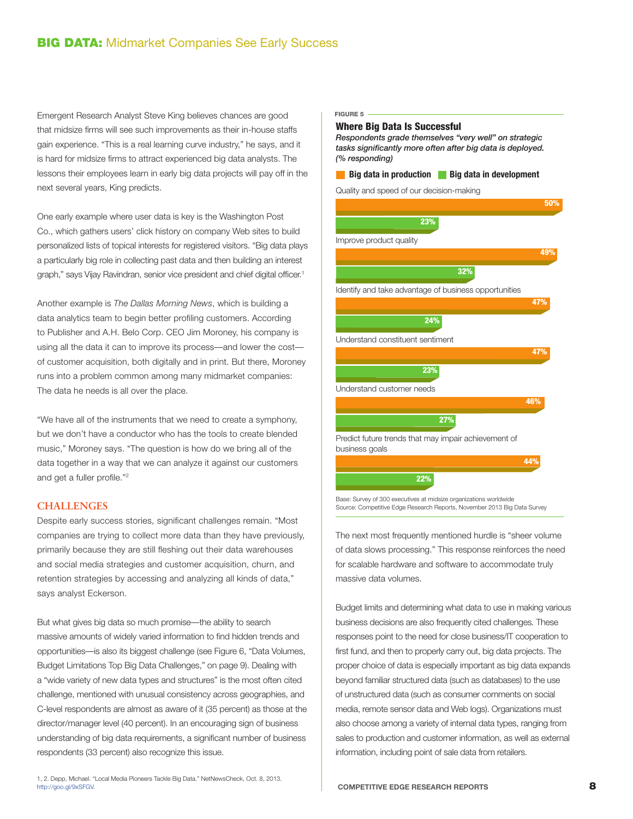### **BIG DATA: Midmarket Companies See Early Success**

Emergent Research Analyst Steve King believes chances are good that midsize firms will see such improvements as their in-house staffs gain experience. "This is a real learning curve industry," he says, and it is hard for midsize firms to attract experienced big data analysts. The lessons their employees learn in early big data projects will pay off in the next several years, King predicts.

One early example where user data is key is the Washington Post Co., which gathers users' click history on company Web sites to build personalized lists of topical interests for registered visitors. "Big data plays a particularly big role in collecting past data and then building an interest graph," says Vijay Ravindran, senior vice president and chief digital officer.<sup>1</sup>

Another example is *The Dallas Morning News*, which is building a data analytics team to begin better profiling customers. According to Publisher and A.H. Belo Corp. CEO Jim Moroney, his company is using all the data it can to improve its process—and lower the cost of customer acquisition, both digitally and in print. But there, Moroney runs into a problem common among many midmarket companies: The data he needs is all over the place.

"We have all of the instruments that we need to create a symphony, but we don't have a conductor who has the tools to create blended music," Moroney says. "The question is how do we bring all of the data together in a way that we can analyze it against our customers and get a fuller profile."2

#### **CHALLENGES**

Despite early success stories, significant challenges remain. "Most companies are trying to collect more data than they have previously, primarily because they are still fleshing out their data warehouses and social media strategies and customer acquisition, churn, and retention strategies by accessing and analyzing all kinds of data," says analyst Eckerson.

But what gives big data so much promise—the ability to search massive amounts of widely varied information to find hidden trends and opportunities—is also its biggest challenge (see Figure 6, "Data Volumes, Budget Limitations Top Big Data Challenges," on page 9). Dealing with a "wide variety of new data types and structures" is the most often cited challenge, mentioned with unusual consistency across geographies, and C-level respondents are almost as aware of it (35 percent) as those at the director/manager level (40 percent). In an encouraging sign of business understanding of big data requirements, a significant number of business respondents (33 percent) also recognize this issue.

1, 2. Depp, Michael. "Local Media Pioneers Tackle Big Data." NetNewsCheck, Oct. 8, 2013. <http://goo.gl/9xSFGV>.

#### FIGURE 5

#### Where Big Data Is Successful

*Respondents grade themselves "very well" on strategic tasks significantly more often after big data is deployed. (% responding)*

# **Big data in production Big data in development**

Quality and speed of our decision-making



Source: Competitive Edge Research Reports, November 2013 Big Data Survey

The next most frequently mentioned hurdle is "sheer volume of data slows processing." This response reinforces the need for scalable hardware and software to accommodate truly massive data volumes.

Budget limits and determining what data to use in making various business decisions are also frequently cited challenges. These responses point to the need for close business/IT cooperation to first fund, and then to properly carry out, big data projects. The proper choice of data is especially important as big data expands beyond familiar structured data (such as databases) to the use of unstructured data (such as consumer comments on social media, remote sensor data and Web logs). Organizations must also choose among a variety of internal data types, ranging from sales to production and customer information, as well as external information, including point of sale data from retailers.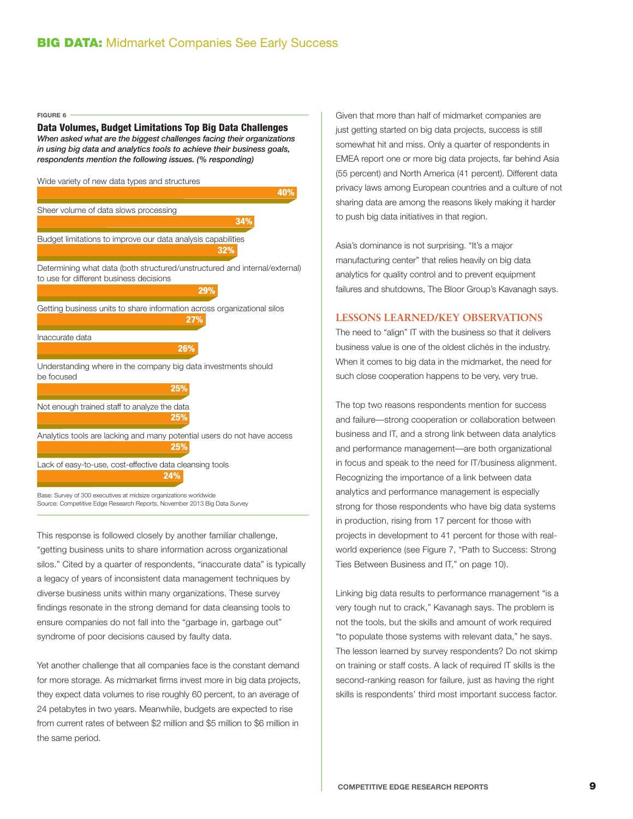FIGURE 6

#### Data Volumes, Budget Limitations Top Big Data Challenges

*When asked what are the biggest challenges facing their organizations in using big data and analytics tools to achieve their business goals, respondents mention the following issues. (% responding)*



Source: Competitive Edge Research Reports, November 2013 Big Data Survey

This response is followed closely by another familiar challenge, "getting business units to share information across organizational silos." Cited by a quarter of respondents, "inaccurate data" is typically a legacy of years of inconsistent data management techniques by diverse business units within many organizations. These survey findings resonate in the strong demand for data cleansing tools to ensure companies do not fall into the "garbage in, garbage out" syndrome of poor decisions caused by faulty data.

Yet another challenge that all companies face is the constant demand for more storage. As midmarket firms invest more in big data projects, they expect data volumes to rise roughly 60 percent, to an average of 24 petabytes in two years. Meanwhile, budgets are expected to rise from current rates of between \$2 million and \$5 million to \$6 million in the same period.

Given that more than half of midmarket companies are just getting started on big data projects, success is still somewhat hit and miss. Only a quarter of respondents in EMEA report one or more big data projects, far behind Asia (55 percent) and North America (41 percent). Different data privacy laws among European countries and a culture of not sharing data are among the reasons likely making it harder to push big data initiatives in that region.

Asia's dominance is not surprising. "It's a major manufacturing center" that relies heavily on big data analytics for quality control and to prevent equipment failures and shutdowns, The Bloor Group's Kavanagh says.

#### **LESSONS LEARNED/KEY OBSERVATIONS**

The need to "align" IT with the business so that it delivers business value is one of the oldest clichés in the industry. When it comes to big data in the midmarket, the need for such close cooperation happens to be very, very true.

The top two reasons respondents mention for success and failure—strong cooperation or collaboration between business and IT, and a strong link between data analytics and performance management—are both organizational in focus and speak to the need for IT/business alignment. Recognizing the importance of a link between data analytics and performance management is especially strong for those respondents who have big data systems in production, rising from 17 percent for those with projects in development to 41 percent for those with realworld experience (see Figure 7, "Path to Success: Strong Ties Between Business and IT," on page 10).

Linking big data results to performance management "is a very tough nut to crack," Kavanagh says. The problem is not the tools, but the skills and amount of work required "to populate those systems with relevant data," he says. The lesson learned by survey respondents? Do not skimp on training or staff costs. A lack of required IT skills is the second-ranking reason for failure, just as having the right skills is respondents' third most important success factor.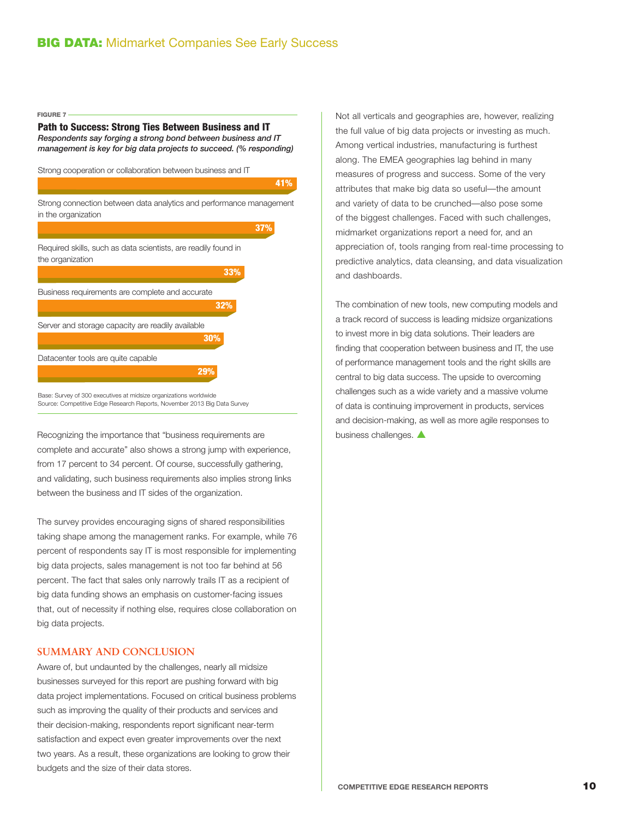FIGURE 7

#### Path to Success: Strong Ties Between Business and IT

*Respondents say forging a strong bond between business and IT management is key for big data projects to succeed. (% responding)*

Strong cooperation or collaboration between business and IT



Base: Survey of 300 executives at midsize organizations worldwide Source: Competitive Edge Research Reports, November 2013 Big Data Survey

Recognizing the importance that "business requirements are business challenges.  $\blacktriangle$ complete and accurate" also shows a strong jump with experience, from 17 percent to 34 percent. Of course, successfully gathering, and validating, such business requirements also implies strong links between the business and IT sides of the organization.

The survey provides encouraging signs of shared responsibilities taking shape among the management ranks. For example, while 76 percent of respondents say IT is most responsible for implementing big data projects, sales management is not too far behind at 56 percent. The fact that sales only narrowly trails IT as a recipient of big data funding shows an emphasis on customer-facing issues that, out of necessity if nothing else, requires close collaboration on big data projects.

#### **SUMMARY AND CONCLUSION**

Aware of, but undaunted by the challenges, nearly all midsize businesses surveyed for this report are pushing forward with big data project implementations. Focused on critical business problems such as improving the quality of their products and services and their decision-making, respondents report significant near-term satisfaction and expect even greater improvements over the next two years. As a result, these organizations are looking to grow their budgets and the size of their data stores.

Not all verticals and geographies are, however, realizing the full value of big data projects or investing as much. Among vertical industries, manufacturing is furthest along. The EMEA geographies lag behind in many measures of progress and success. Some of the very attributes that make big data so useful—the amount and variety of data to be crunched—also pose some of the biggest challenges. Faced with such challenges, midmarket organizations report a need for, and an appreciation of, tools ranging from real-time processing to predictive analytics, data cleansing, and data visualization and dashboards.

The combination of new tools, new computing models and a track record of success is leading midsize organizations to invest more in big data solutions. Their leaders are finding that cooperation between business and IT, the use of performance management tools and the right skills are central to big data success. The upside to overcoming challenges such as a wide variety and a massive volume of data is continuing improvement in products, services and decision-making, as well as more agile responses to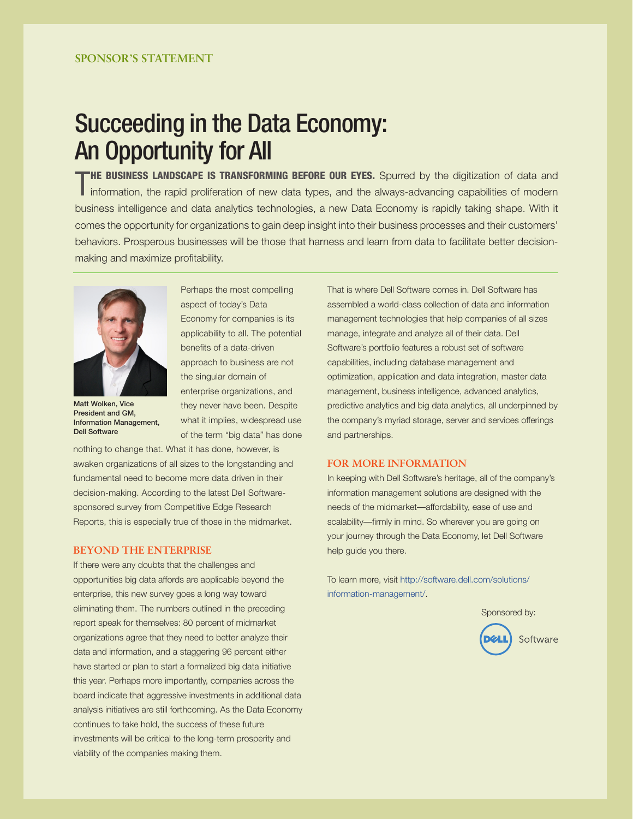# Succeeding in the Data Economy: An Opportunity for All

T **HE BUSINESS LANDSCAPE IS TRANSFORMING BEFORE OUR EYES.** Spurred by the digitization of data and information, the rapid proliferation of new data types, and the always-advancing capabilities of modern business intelligence and data analytics technologies, a new Data Economy is rapidly taking shape. With it comes the opportunity for organizations to gain deep insight into their business processes and their customers' behaviors. Prosperous businesses will be those that harness and learn from data to facilitate better decisionmaking and maximize profitability.



Matt Wolken, Vice President and GM, Information Management, Dell Software

Perhaps the most compelling aspect of today's Data Economy for companies is its applicability to all. The potential benefits of a data-driven approach to business are not the singular domain of enterprise organizations, and they never have been. Despite what it implies, widespread use of the term "big data" has done

nothing to change that. What it has done, however, is awaken organizations of all sizes to the longstanding and fundamental need to become more data driven in their decision-making. According to the latest Dell Softwaresponsored survey from Competitive Edge Research Reports, this is especially true of those in the midmarket.

#### **BEYOND THE ENTERPRISE**

If there were any doubts that the challenges and opportunities big data affords are applicable beyond the enterprise, this new survey goes a long way toward eliminating them. The numbers outlined in the preceding report speak for themselves: 80 percent of midmarket organizations agree that they need to better analyze their data and information, and a staggering 96 percent either have started or plan to start a formalized big data initiative this year. Perhaps more importantly, companies across the board indicate that aggressive investments in additional data analysis initiatives are still forthcoming. As the Data Economy continues to take hold, the success of these future investments will be critical to the long-term prosperity and viability of the companies making them.

That is where Dell Software comes in. Dell Software has assembled a world-class collection of data and information management technologies that help companies of all sizes manage, integrate and analyze all of their data. Dell Software's portfolio features a robust set of software capabilities, including database management and optimization, application and data integration, master data management, business intelligence, advanced analytics, predictive analytics and big data analytics, all underpinned by the company's myriad storage, server and services offerings and partnerships.

#### **FOR MORE INFORMATION**

In keeping with Dell Software's heritage, all of the company's information management solutions are designed with the needs of the midmarket—affordability, ease of use and scalability—firmly in mind. So wherever you are going on your journey through the Data Economy, let Dell Software help guide you there.

To learn more, visit http://software.dell.com/solutions/ information-management/.

 Sponsored by: